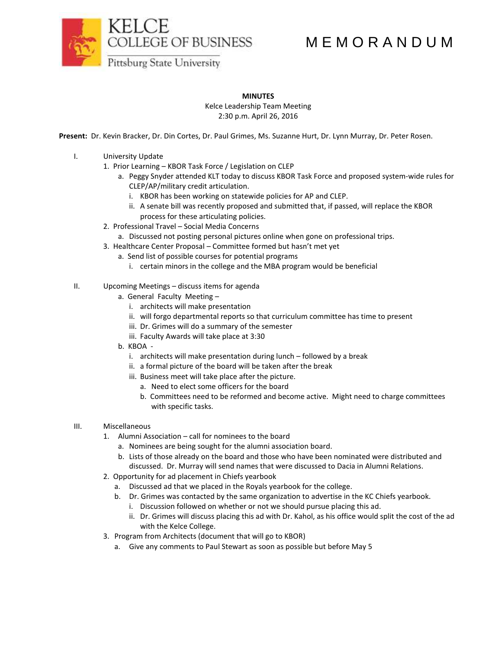

## M E M O R A N D U M

**MINUTES**

Kelce Leadership Team Meeting 2:30 p.m. April 26, 2016

**Present:** Dr. Kevin Bracker, Dr. Din Cortes, Dr. Paul Grimes, Ms. Suzanne Hurt, Dr. Lynn Murray, Dr. Peter Rosen.

- I. University Update
	- 1. Prior Learning KBOR Task Force / Legislation on CLEP
		- a. Peggy Snyder attended KLT today to discuss KBOR Task Force and proposed system-wide rules for CLEP/AP/military credit articulation.
			- i. KBOR has been working on statewide policies for AP and CLEP.
			- ii. A senate bill was recently proposed and submitted that, if passed, will replace the KBOR process for these articulating policies.
	- 2. Professional Travel Social Media Concerns
		- a. Discussed not posting personal pictures online when gone on professional trips.
	- 3. Healthcare Center Proposal Committee formed but hasn't met yet
		- a. Send list of possible courses for potential programs
			- i. certain minors in the college and the MBA program would be beneficial
- II. Upcoming Meetings discuss items for agenda
	- a. General Faculty Meeting
		- i. architects will make presentation
		- ii. will forgo departmental reports so that curriculum committee has time to present
		- iii. Dr. Grimes will do a summary of the semester
		- iii. Faculty Awards will take place at 3:30
	- b. KBOA
		- i. architects will make presentation during lunch followed by a break
		- ii. a formal picture of the board will be taken after the break
		- iii. Business meet will take place after the picture.
			- a. Need to elect some officers for the board
			- b. Committees need to be reformed and become active. Might need to charge committees with specific tasks.
- III. Miscellaneous
	- 1. Alumni Association call for nominees to the board
		- a. Nominees are being sought for the alumni association board.
		- b. Lists of those already on the board and those who have been nominated were distributed and discussed. Dr. Murray will send names that were discussed to Dacia in Alumni Relations.
	- 2. Opportunity for ad placement in Chiefs yearbook
		- a. Discussed ad that we placed in the Royals yearbook for the college.
		- b. Dr. Grimes was contacted by the same organization to advertise in the KC Chiefs yearbook.
			- i. Discussion followed on whether or not we should pursue placing this ad.
			- ii. Dr. Grimes will discuss placing this ad with Dr. Kahol, as his office would split the cost of the ad with the Kelce College.
	- 3. Program from Architects (document that will go to KBOR)
		- a. Give any comments to Paul Stewart as soon as possible but before May 5